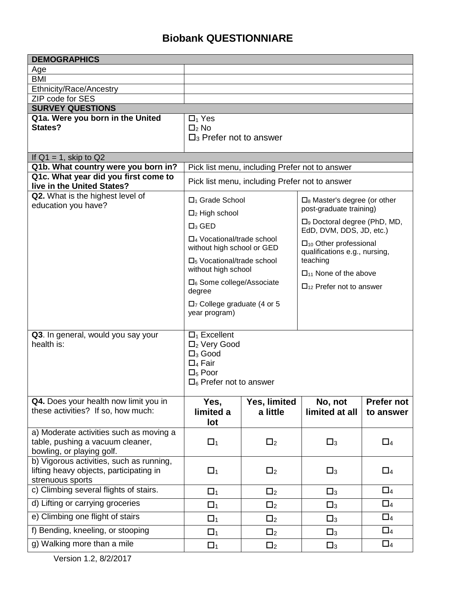## **Biobank QUESTIONNIARE**

| <b>DEMOGRAPHICS</b>                                                                                      |                                                                                                                                               |              |                                                                              |                   |  |
|----------------------------------------------------------------------------------------------------------|-----------------------------------------------------------------------------------------------------------------------------------------------|--------------|------------------------------------------------------------------------------|-------------------|--|
| Age                                                                                                      |                                                                                                                                               |              |                                                                              |                   |  |
| <b>BMI</b>                                                                                               |                                                                                                                                               |              |                                                                              |                   |  |
| Ethnicity/Race/Ancestry                                                                                  |                                                                                                                                               |              |                                                                              |                   |  |
| ZIP code for SES                                                                                         |                                                                                                                                               |              |                                                                              |                   |  |
| <b>SURVEY QUESTIONS</b>                                                                                  |                                                                                                                                               |              |                                                                              |                   |  |
| Q1a. Were you born in the United<br>States?                                                              | $\Box_1$ Yes                                                                                                                                  |              |                                                                              |                   |  |
|                                                                                                          | $\Box_2$ No<br>$\Box$ <sub>3</sub> Prefer not to answer                                                                                       |              |                                                                              |                   |  |
|                                                                                                          |                                                                                                                                               |              |                                                                              |                   |  |
| If $Q1 = 1$ , skip to $Q2$                                                                               |                                                                                                                                               |              |                                                                              |                   |  |
| Q1b. What country were you born in?                                                                      | Pick list menu, including Prefer not to answer                                                                                                |              |                                                                              |                   |  |
| Q1c. What year did you first come to                                                                     | Pick list menu, including Prefer not to answer                                                                                                |              |                                                                              |                   |  |
| live in the United States?                                                                               |                                                                                                                                               |              |                                                                              |                   |  |
| Q2. What is the highest level of<br>education you have?                                                  | □ <sub>1</sub> Grade School<br>$\square_8$ Master's degree (or other                                                                          |              |                                                                              |                   |  |
|                                                                                                          | post-graduate training)<br>$\Box$ <sub>2</sub> High school                                                                                    |              |                                                                              |                   |  |
|                                                                                                          | $\square$ <sub>3</sub> GED                                                                                                                    |              | $\square$ <sub>9</sub> Doctoral degree (PhD, MD,<br>EdD, DVM, DDS, JD, etc.) |                   |  |
|                                                                                                          | $\Box_4$ Vocational/trade school<br>without high school or GED                                                                                |              | $\Box_{10}$ Other professional                                               |                   |  |
|                                                                                                          | $\square$ <sub>5</sub> Vocational/trade school                                                                                                |              | qualifications e.g., nursing,<br>teaching<br>$\Box_{11}$ None of the above   |                   |  |
|                                                                                                          | without high school                                                                                                                           |              |                                                                              |                   |  |
|                                                                                                          | $\square_6$ Some college/Associate<br>degree                                                                                                  |              | $\Box_{12}$ Prefer not to answer                                             |                   |  |
|                                                                                                          | $\Box$ 7 College graduate (4 or 5<br>year program)                                                                                            |              |                                                                              |                   |  |
| Q3. In general, would you say your<br>health is:                                                         | $\Box_1$ Excellent<br>$\Box_2$ Very Good<br>$\square$ <sub>3</sub> Good<br>$\Box_4$ Fair<br>$\square_5$ Poor<br>$\Box_6$ Prefer not to answer |              |                                                                              |                   |  |
| Q4. Does your health now limit you in                                                                    | Yes,                                                                                                                                          | Yes, limited | No, not                                                                      | <b>Prefer not</b> |  |
| these activities? If so, how much:                                                                       | limited a                                                                                                                                     | a little     | limited at all                                                               | to answer         |  |
|                                                                                                          | lot                                                                                                                                           |              |                                                                              |                   |  |
| a) Moderate activities such as moving a<br>table, pushing a vacuum cleaner,<br>bowling, or playing golf. | $\Box_1$                                                                                                                                      | $\Box$ 2     | $\square_3$                                                                  | $\Box_4$          |  |
| b) Vigorous activities, such as running,<br>lifting heavy objects, participating in<br>strenuous sports  | $\Box_1$                                                                                                                                      | $\Box$       | $\Box$ 3                                                                     | $\Box_4$          |  |
| c) Climbing several flights of stairs.                                                                   | $\Box_1$                                                                                                                                      | $\Box$ 2     | $\square_3$                                                                  | $\Box_4$          |  |
| d) Lifting or carrying groceries                                                                         | $\Box_1$                                                                                                                                      | $\Box$ 2     | $\square_3$                                                                  | $\Box_4$          |  |
| e) Climbing one flight of stairs                                                                         | $\Box_1$                                                                                                                                      | $\Box$ 2     | $\square_3$                                                                  | $\Box_4$          |  |
| f) Bending, kneeling, or stooping                                                                        | $\Box_1$                                                                                                                                      | $\Box$ 2     | $\square_3$                                                                  | $\Box_4$          |  |
| g) Walking more than a mile                                                                              | $\Box_1$                                                                                                                                      | $\Box$ 2     | $\Box_3$                                                                     | $\Box_4$          |  |

Version 1.2, 8/2/2017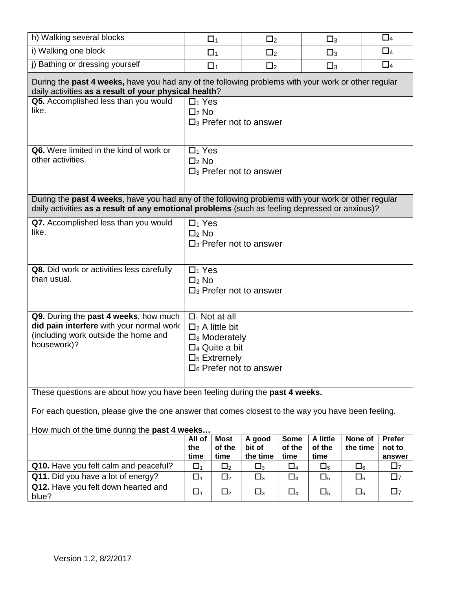| h) Walking several blocks                                                                                                                                                                             |                                                                                                                                                                                   | $\Box_1$       | $\Box$ 2           |                | $\square_3$    |             | $\square_4$      |
|-------------------------------------------------------------------------------------------------------------------------------------------------------------------------------------------------------|-----------------------------------------------------------------------------------------------------------------------------------------------------------------------------------|----------------|--------------------|----------------|----------------|-------------|------------------|
| i) Walking one block                                                                                                                                                                                  |                                                                                                                                                                                   | $\Box_1$       | $\Box$ 2           |                | $\square_3$    |             | $\square_4$      |
| j) Bathing or dressing yourself                                                                                                                                                                       |                                                                                                                                                                                   | $\Box_1$       | $\Box_2$           |                | $\square_3$    |             | $\Box_4$         |
| During the past 4 weeks, have you had any of the following problems with your work or other regular<br>daily activities as a result of your physical health?                                          |                                                                                                                                                                                   |                |                    |                |                |             |                  |
| Q5. Accomplished less than you would<br>like.                                                                                                                                                         | $\Box_1$ Yes<br>$\Box_2$ No<br>$\square$ <sub>3</sub> Prefer not to answer                                                                                                        |                |                    |                |                |             |                  |
| Q6. Were limited in the kind of work or<br>other activities.                                                                                                                                          | $\Box_1$ Yes<br>$\Box$ 2 No<br>$\square$ <sub>3</sub> Prefer not to answer                                                                                                        |                |                    |                |                |             |                  |
| During the past 4 weeks, have you had any of the following problems with your work or other regular<br>daily activities as a result of any emotional problems (such as feeling depressed or anxious)? |                                                                                                                                                                                   |                |                    |                |                |             |                  |
| Q7. Accomplished less than you would<br>like.                                                                                                                                                         | $\Box_1$ Yes<br>$\Box$ <sub>2</sub> No<br>$\square$ <sub>3</sub> Prefer not to answer                                                                                             |                |                    |                |                |             |                  |
| Q8. Did work or activities less carefully<br>than usual.                                                                                                                                              | $\Box_1$ Yes<br>$\Box_2$ No<br>$\square$ <sub>3</sub> Prefer not to answer                                                                                                        |                |                    |                |                |             |                  |
| Q9. During the past 4 weeks, how much<br>did pain interfere with your normal work<br>(including work outside the home and<br>housework)?                                                              | $\Box_1$ Not at all<br>$\Box_2$ A little bit<br>$\square$ <sub>3</sub> Moderately<br>$\Box$ 4 Quite a bit<br>$\square$ <sub>5</sub> Extremely<br>$\square_6$ Prefer not to answer |                |                    |                |                |             |                  |
| These questions are about how you have been feeling during the past 4 weeks.<br>For each question, please give the one answer that comes closest to the way you have been feeling.                    |                                                                                                                                                                                   |                |                    |                |                |             |                  |
| How much of the time during the past 4 weeks                                                                                                                                                          | All of                                                                                                                                                                            | <b>Most</b>    | A good             | <b>Some</b>    | A little       | None of     | Prefer           |
|                                                                                                                                                                                                       | the<br>time                                                                                                                                                                       | of the<br>time | bit of<br>the time | of the<br>time | of the<br>time | the time    | not to<br>answer |
| Q10. Have you felt calm and peaceful?                                                                                                                                                                 | $\Box_1$                                                                                                                                                                          | $\square_2$    | $\square_3$        | $\square_4$    | $\square_5$    | $\square_6$ | $\square$ 7      |
| Q11. Did you have a lot of energy?                                                                                                                                                                    | $\Box_1$                                                                                                                                                                          | $\square_2$    | $\square_3$        | $\square_4$    | $\square_5$    | $\square_6$ | $\square$        |
| Q12. Have you felt down hearted and<br>blue?                                                                                                                                                          | $\Box_1$                                                                                                                                                                          | $\square_2$    | $\square_3$        | $\square_4$    | $\square_5$    | $\square_6$ | $\square$        |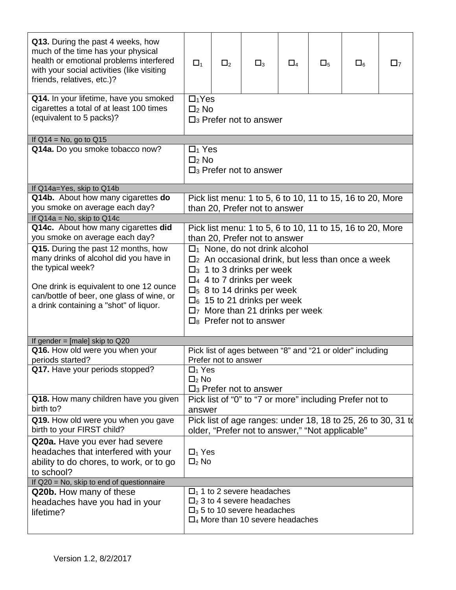| Q13. During the past 4 weeks, how<br>much of the time has your physical<br>health or emotional problems interfered<br>with your social activities (like visiting<br>friends, relatives, etc.)? | $\Box_1$                                                                                                                                                                                                 | $\Box_2$ | $\square_3$                                                                                                                                                  | $\square_4$ | $\square_5$ | $\square_6$ | $\square$ |
|------------------------------------------------------------------------------------------------------------------------------------------------------------------------------------------------|----------------------------------------------------------------------------------------------------------------------------------------------------------------------------------------------------------|----------|--------------------------------------------------------------------------------------------------------------------------------------------------------------|-------------|-------------|-------------|-----------|
| Q14. In your lifetime, have you smoked<br>cigarettes a total of at least 100 times<br>(equivalent to 5 packs)?                                                                                 | $\square_1$ Yes<br>$\square$ <sub>2</sub> No<br>$\Box$ <sub>3</sub> Prefer not to answer                                                                                                                 |          |                                                                                                                                                              |             |             |             |           |
| If $Q14 = No$ , go to $Q15$                                                                                                                                                                    |                                                                                                                                                                                                          |          |                                                                                                                                                              |             |             |             |           |
| Q14a. Do you smoke tobacco now?                                                                                                                                                                | $\Box_1$ Yes<br>$\square$ <sub>2</sub> No<br>$\Box$ <sub>3</sub> Prefer not to answer                                                                                                                    |          |                                                                                                                                                              |             |             |             |           |
| If Q14a=Yes, skip to Q14b                                                                                                                                                                      |                                                                                                                                                                                                          |          |                                                                                                                                                              |             |             |             |           |
| Q14b. About how many cigarettes do<br>you smoke on average each day?                                                                                                                           | Pick list menu: 1 to 5, 6 to 10, 11 to 15, 16 to 20, More<br>than 20, Prefer not to answer                                                                                                               |          |                                                                                                                                                              |             |             |             |           |
| If $Q$ 14a = No, skip to $Q$ 14c                                                                                                                                                               |                                                                                                                                                                                                          |          |                                                                                                                                                              |             |             |             |           |
| Q14c. About how many cigarettes did<br>you smoke on average each day?<br>Q15. During the past 12 months, how                                                                                   | Pick list menu: 1 to 5, 6 to 10, 11 to 15, 16 to 20, More<br>than 20, Prefer not to answer                                                                                                               |          |                                                                                                                                                              |             |             |             |           |
| many drinks of alcohol did you have in<br>the typical week?                                                                                                                                    | $\Box$ <sub>1</sub> None, do not drink alcohol<br>$\Box$ <sub>2</sub> An occasional drink, but less than once a week<br>$\square$ <sup>3</sup> 1 to 3 drinks per week<br>$\Box$ 4 4 to 7 drinks per week |          |                                                                                                                                                              |             |             |             |           |
| One drink is equivalent to one 12 ounce<br>can/bottle of beer, one glass of wine, or<br>a drink containing a "shot" of liquor.                                                                 | $\Box$ <sub>5</sub> 8 to 14 drinks per week<br>$\Box_6$ 15 to 21 drinks per week<br>$\square$ More than 21 drinks per week<br>$\Box_8$ Prefer not to answer                                              |          |                                                                                                                                                              |             |             |             |           |
| If gender = $[male]$ skip to Q20                                                                                                                                                               |                                                                                                                                                                                                          |          |                                                                                                                                                              |             |             |             |           |
| Q16. How old were you when your<br>periods started?                                                                                                                                            | Pick list of ages between "8" and "21 or older" including<br>Prefer not to answer                                                                                                                        |          |                                                                                                                                                              |             |             |             |           |
| Q17. Have your periods stopped?                                                                                                                                                                | $\Box_1$ Yes<br>$\square_2$ No<br>$\Box$ 3 Prefer not to answer                                                                                                                                          |          |                                                                                                                                                              |             |             |             |           |
| Q18. How many children have you given                                                                                                                                                          | Pick list of "0" to "7 or more" including Prefer not to                                                                                                                                                  |          |                                                                                                                                                              |             |             |             |           |
| birth to?                                                                                                                                                                                      | answer                                                                                                                                                                                                   |          |                                                                                                                                                              |             |             |             |           |
| Q19. How old were you when you gave<br>birth to your FIRST child?                                                                                                                              | Pick list of age ranges: under 18, 18 to 25, 26 to 30, 31 td<br>older, "Prefer not to answer," "Not applicable"                                                                                          |          |                                                                                                                                                              |             |             |             |           |
| Q20a. Have you ever had severe<br>headaches that interfered with your<br>ability to do chores, to work, or to go<br>to school?                                                                 | $\Box_1$ Yes<br>$\square_2$ No                                                                                                                                                                           |          |                                                                                                                                                              |             |             |             |           |
| If Q20 = No, skip to end of questionnaire                                                                                                                                                      |                                                                                                                                                                                                          |          |                                                                                                                                                              |             |             |             |           |
| Q20b. How many of these<br>headaches have you had in your<br>lifetime?                                                                                                                         |                                                                                                                                                                                                          |          | $\Box$ 1 to 2 severe headaches<br>$\Box_2$ 3 to 4 severe headaches<br>$\Box$ <sub>3</sub> 5 to 10 severe headaches<br>$\Box_4$ More than 10 severe headaches |             |             |             |           |